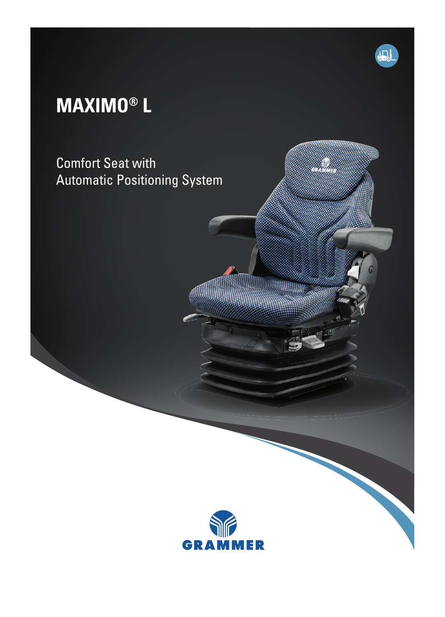## **MAXIMO® L**

Comfort Seat with Automatic Positioning System



 $\mathbf{\Pi}$